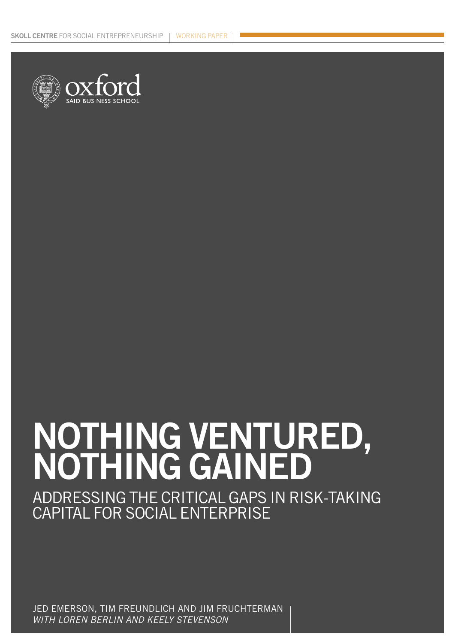

### **NOTHING VENTURED, NOTHING GAINED**

ADDRESSING THE CRITICAL GAPS IN RISK-TAKING CAPITAL FOR SOCIAL ENTERPRISE

JED EMERSON, TIM FREUNDLICH AND JIM FRUCHTERMAN WITH LOREN BERLIN AND KEELY STEVENSON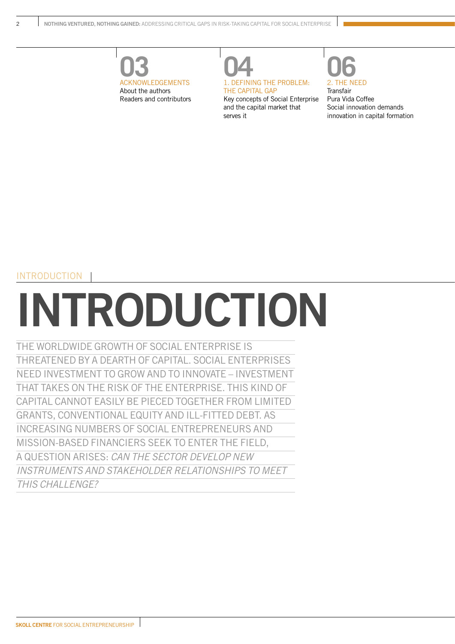



THE CAPITAL GAP Key concepts of Social Enterprise and the capital market that serves it



**Transfair** Pura Vida Coffee Social innovation demands innovation in capital formation

#### INTRODUCTION

## **INTRODUCTION**

THE WORLDWIDE GROWTH OF SOCIAL ENTERPRISE IS THREATENED BY A DEARTH OF CAPITAL. SOCIAL ENTERPRISES NEED INVESTMENT TO GROW AND TO INNOVATE – INVESTMENT THAT TAKES ON THE RISK OF THE ENTERPRISE. THIS KIND OF CAPITAL CANNOT EASILY BE PIECED TOGETHER FROM LIMITED GRANTS, CONVENTIONAL EQUITY AND ILL-FITTED DEBT. AS INCREASING NUMBERS OF SOCIAL ENTREPRENEURS AND MISSION-BASED FINANCIERS SEEK TO ENTER THE FIELD, A QUESTION ARISES: CAN THE SECTOR DEVELOP NEW INSTRUMENTS AND STAKEHOLDER RELATIONSHIPS TO MEET THIS CHALLENGE?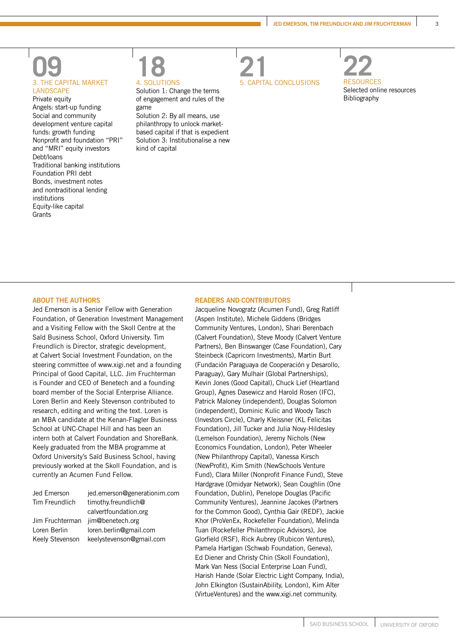### **09**<br>3. THE CAPITAL MARKET LANDSCAPE

Private equity Angels: start-up funding Social and community development venture capital funds: growth funding Nonprofit and foundation "PRI" and "MRI" equity investors Debt/loans Traditional banking institutions Foundation PRI debt Bonds, investment notes and nontraditional lending institutions Equity-like capital **Grants** 



Solution 1: Change the terms of engagement and rules of the game

Solution 2: By all means, use philanthropy to unlock marketbased capital if that is expedient Solution 3: Institutionalise a new kind of capital





#### **ABOUT THE AUTHORS**

Jed Emerson is a Senior Fellow with Generation Foundation, of Generation Investment Management and a Visiting Fellow with the Skoll Centre at the Saïd Business School, Oxford University. Tim Freundlich is Director, strategic development, at Calvert Social Investment Foundation, on the steering committee of www.xigi.net and a founding Principal of Good Capital, LLC. Jim Fruchterman is Founder and CEO of Benetech and a founding board member of the Social Enterprise Alliance. Loren Berlin and Keely Stevenson contributed to research, editing and writing the text. Loren is an MBA candidate at the Kenan-Flagler Business School at UNC-Chapel Hill and has been an intern both at Calvert Foundation and ShoreBank. Keely graduated from the MBA programme at Oxford University's Saïd Business School, having previously worked at the Skoll Foundation, and is currently an Acumen Fund Fellow.

| Jed Emerson     | jed.emerson@generationim.com |
|-----------------|------------------------------|
| Tim Freundlich  | timothy.freundlich@          |
|                 | calvertfoundation.org        |
| Jim Fruchterman | jim@benetech.org             |
| Loren Berlin    | loren.berlin@gmail.com       |
| Keely Stevenson | keelystevenson@gmail.com     |
|                 |                              |

#### **READERS AND CONTRIBUTORS**

Jacqueline Novogratz (Acumen Fund), Greg Ratliff (Aspen Institute), Michele Giddens (Bridges Community Ventures, London), Shari Berenbach (Calvert Foundation), Steve Moody (Calvert Venture Partners), Ben Binswanger (Case Foundation), Cary Steinbeck (Capricorn Investments), Martin Burt (Fundación Paraguaya de Cooperación y Desarollo, Paraguay), Gary Mulhair (Global Partnerships), Kevin Jones (Good Capital), Chuck Lief (Heartland Group), Agnes Dasewicz and Harold Rosen (IFC), Patrick Maloney (independent), Douglas Solomon (independent), Dominic Kulic and Woody Tasch (Investors Circle), Charly Kleissner (KL Felicitas Foundation), Jill Tucker and Julia Novy-Hildesley (Lemelson Foundation), Jeremy Nichols (New Economics Foundation, London), Peter Wheeler (New Philanthropy Capital), Vanessa Kirsch (NewProfit), Kim Smith (NewSchools Venture Fund), Clara Miller (Nonprofit Finance Fund), Steve Hardgrave (Omidyar Network), Sean Coughlin (One Foundation, Dublin), Penelope Douglas (Pacific Community Ventures), Jeannine Jacokes (Partners for the Common Good), Cynthia Gair (REDF), Jackie Khor (ProVenEx, Rockefeller Foundation), Melinda Tuan (Rockefeller Philanthropic Advisors), Joe Glorfield (RSF), Rick Aubrey (Rubicon Ventures), Pamela Hartigan (Schwab Foundation, Geneva), Ed Diener and Christy Chin (Skoll Foundation), Mark Van Ness (Social Enterprise Loan Fund), Harish Hande (Solar Electric Light Company, India), John Elkington (SustainAbility, London), Kim Alter (VirtueVentures) and the www.xigi.net community.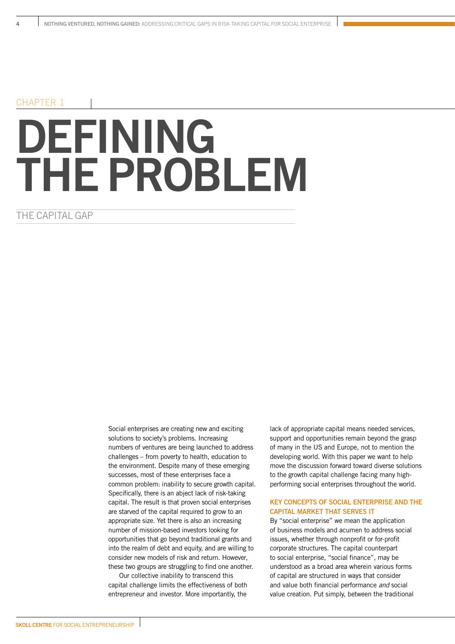#### CHAPTER 1

## **DEFINING THE PROBLEM**

#### THE CAPITAL GAP

Social enterprises are creating new and exciting solutions to society's problems. Increasing numbers of ventures are being launched to address challenges – from poverty to health, education to the environment. Despite many of these emerging successes, most of these enterprises face a common problem: inability to secure growth capital. Specifically, there is an abject lack of risk-taking capital. The result is that proven social enterprises are starved of the capital required to grow to an appropriate size. Yet there is also an increasing number of mission-based investors looking for opportunities that go beyond traditional grants and into the realm of debt and equity, and are willing to consider new models of risk and return. However, these two groups are struggling to find one another.

Our collective inability to transcend this capital challenge limits the effectiveness of both entrepreneur and investor. More importantly, the

lack of appropriate capital means needed services, support and opportunities remain beyond the grasp of many in the US and Europe, not to mention the developing world. With this paper we want to help move the discussion forward toward diverse solutions to the growth capital challenge facing many highperforming social enterprises throughout the world.

#### **KEY CONCEPTS OF SOCIAL ENTERPRISE AND THE CAPITAL MARKET THAT SERVES IT**

By "social enterprise" we mean the application of business models and acumen to address social issues, whether through nonprofit or for-profit corporate structures. The capital counterpart to social enterprise, "social finance", may be understood as a broad area wherein various forms of capital are structured in ways that consider and value both financial performance and social value creation. Put simply, between the traditional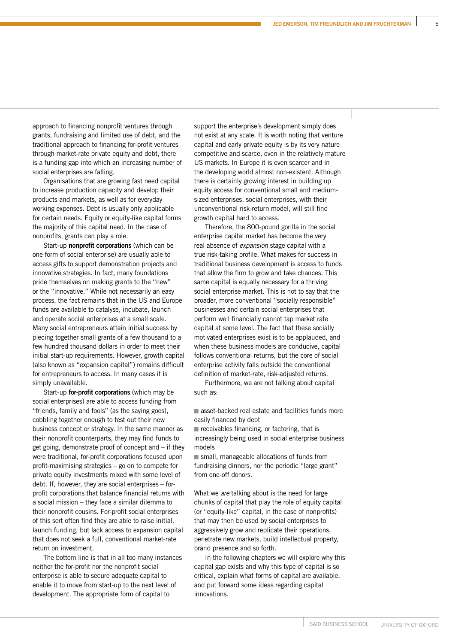approach to financing nonprofit ventures through grants, fundraising and limited use of debt, and the traditional approach to financing for-profit ventures through market-rate private equity and debt, there is a funding gap into which an increasing number of social enterprises are falling.

Organisations that are growing fast need capital to increase production capacity and develop their products and markets, as well as for everyday working expenses. Debt is usually only applicable for certain needs. Equity or equity-like capital forms the majority of this capital need. In the case of nonprofits, grants can play a role.

Start-up **nonprofit corporations** (which can be one form of social enterprise) are usually able to access gifts to support demonstration projects and innovative strategies. In fact, many foundations pride themselves on making grants to the "new" or the "innovative." While not necessarily an easy process, the fact remains that in the US and Europe funds are available to catalyse, incubate, launch and operate social enterprises at a small scale. Many social entrepreneurs attain initial success by piecing together small grants of a few thousand to a few hundred thousand dollars in order to meet their initial start-up requirements. However, growth capital (also known as "expansion capital") remains difficult for entrepreneurs to access. In many cases it is simply unavailable.

Start-up **for-profit corporations** (which may be social enterprises) are able to access funding from "friends, family and fools" (as the saying goes), cobbling together enough to test out their new business concept or strategy. In the same manner as their nonprofit counterparts, they may find funds to get going, demonstrate proof of concept and – if they were traditional, for-profit corporations focused upon profit-maximising strategies – go on to compete for private equity investments mixed with some level of debt. If, however, they are social enterprises – forprofit corporations that balance financial returns with a social mission – they face a similar dilemma to their nonprofit cousins. For-profit social enterprises of this sort often find they are able to raise initial, launch funding, but lack access to expansion capital that does not seek a full, conventional market-rate return on investment.

The bottom line is that in all too many instances neither the for-profit nor the nonprofit social enterprise is able to secure adequate capital to enable it to move from start-up to the next level of development. The appropriate form of capital to

support the enterprise's development simply does not exist at any scale. It is worth noting that venture capital and early private equity is by its very nature competitive and scarce, even in the relatively mature US markets. In Europe it is even scarcer and in the developing world almost non-existent. Although there is certainly growing interest in building up equity access for conventional small and mediumsized enterprises, social enterprises, with their unconventional risk-return model, will still find growth capital hard to access.

Therefore, the 800-pound gorilla in the social enterprise capital market has become the very real absence of expansion stage capital with a true risk-taking profile. What makes for success in traditional business development is access to funds that allow the firm to grow and take chances. This same capital is equally necessary for a thriving social enterprise market. This is not to say that the broader, more conventional "socially responsible" businesses and certain social enterprises that perform well financially cannot tap market rate capital at some level. The fact that these socially motivated enterprises exist is to be applauded, and when these business models are conducive, capital follows conventional returns, but the core of social enterprise activity falls outside the conventional definition of market-rate, risk-adjusted returns.

Furthermore, we are not talking about capital such as:

asset-backed real estate and facilities funds more easily financed by debt

 $\blacksquare$  receivables financing, or factoring, that is increasingly being used in social enterprise business models

small, manageable allocations of funds from fundraising dinners, nor the periodic "large grant" from one-off donors.

What we are talking about is the need for large chunks of capital that play the role of equity capital (or "equity-like" capital, in the case of nonprofits) that may then be used by social enterprises to aggressively grow and replicate their operations, penetrate new markets, build intellectual property, brand presence and so forth.

In the following chapters we will explore why this capital gap exists and why this type of capital is so critical, explain what forms of capital are available, and put forward some ideas regarding capital innovations.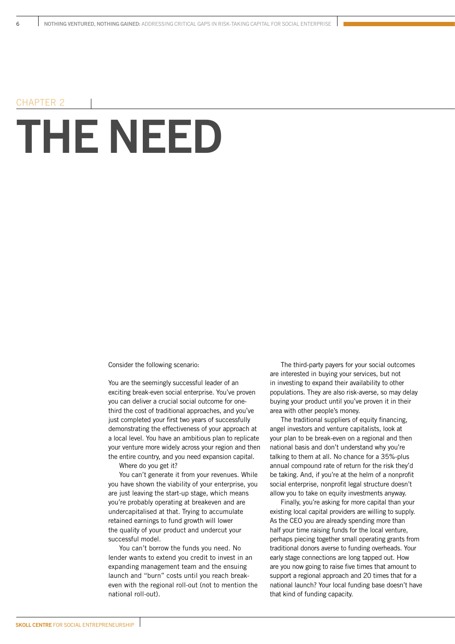### **THE NEED** CHAPTER 2

Consider the following scenario:

You are the seemingly successful leader of an exciting break-even social enterprise. You've proven you can deliver a crucial social outcome for onethird the cost of traditional approaches, and you've just completed your first two years of successfully demonstrating the effectiveness of your approach at a local level. You have an ambitious plan to replicate your venture more widely across your region and then the entire country, and you need expansion capital.

Where do you get it?

You can't generate it from your revenues. While you have shown the viability of your enterprise, you are just leaving the start-up stage, which means you're probably operating at breakeven and are undercapitalised at that. Trying to accumulate retained earnings to fund growth will lower the quality of your product and undercut your successful model.

You can't borrow the funds you need. No lender wants to extend you credit to invest in an expanding management team and the ensuing launch and "burn" costs until you reach breakeven with the regional roll-out (not to mention the national roll-out).

The third-party payers for your social outcomes are interested in buying your services, but not in investing to expand their availability to other populations. They are also risk-averse, so may delay buying your product until you've proven it in their area with other people's money.

The traditional suppliers of equity financing, angel investors and venture capitalists, look at your plan to be break-even on a regional and then national basis and don't understand why you're talking to them at all. No chance for a 35%-plus annual compound rate of return for the risk they'd be taking. And, if you're at the helm of a nonprofit social enterprise, nonprofit legal structure doesn't allow you to take on equity investments anyway.

Finally, you're asking for more capital than your existing local capital providers are willing to supply. As the CEO you are already spending more than half your time raising funds for the local venture, perhaps piecing together small operating grants from traditional donors averse to funding overheads. Your early stage connections are long tapped out. How are you now going to raise five times that amount to support a regional approach and 20 times that for a national launch? Your local funding base doesn't have that kind of funding capacity.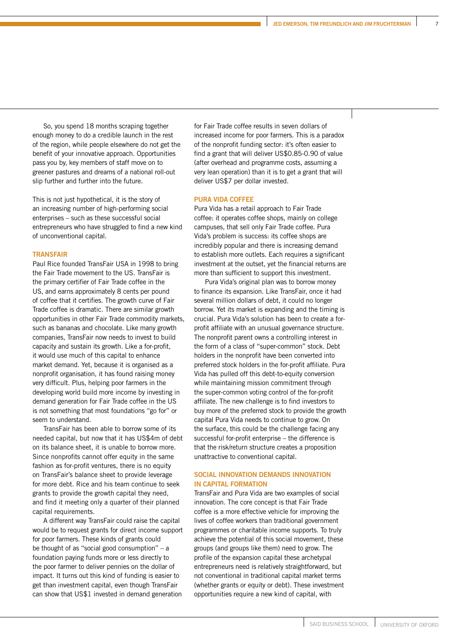So, you spend 18 months scraping together enough money to do a credible launch in the rest of the region, while people elsewhere do not get the benefit of your innovative approach. Opportunities pass you by, key members of staff move on to greener pastures and dreams of a national roll-out slip further and further into the future.

This is not just hypothetical, it is the story of an increasing number of high-performing social enterprises – such as these successful social entrepreneurs who have struggled to find a new kind of unconventional capital.

#### **TRANSFAIR**

Paul Rice founded TransFair USA in 1998 to bring the Fair Trade movement to the US. TransFair is the primary certifier of Fair Trade coffee in the US, and earns approximately 8 cents per pound of coffee that it certifies. The growth curve of Fair Trade coffee is dramatic. There are similar growth opportunities in other Fair Trade commodity markets, such as bananas and chocolate. Like many growth companies, TransFair now needs to invest to build capacity and sustain its growth. Like a for-profit, it would use much of this capital to enhance market demand. Yet, because it is organised as a nonprofit organisation, it has found raising money very difficult. Plus, helping poor farmers in the developing world build more income by investing in demand generation for Fair Trade coffee in the US is not something that most foundations "go for" or seem to understand.

TransFair has been able to borrow some of its needed capital, but now that it has US\$4m of debt on its balance sheet, it is unable to borrow more. Since nonprofits cannot offer equity in the same fashion as for-profit ventures, there is no equity on TransFair's balance sheet to provide leverage for more debt. Rice and his team continue to seek grants to provide the growth capital they need, and find it meeting only a quarter of their planned capital requirements.

A different way TransFair could raise the capital would be to request grants for direct income support for poor farmers. These kinds of grants could be thought of as "social good consumption" – a foundation paying funds more or less directly to the poor farmer to deliver pennies on the dollar of impact. It turns out this kind of funding is easier to get than investment capital, even though TransFair can show that US\$1 invested in demand generation

for Fair Trade coffee results in seven dollars of increased income for poor farmers. This is a paradox of the nonprofit funding sector: it's often easier to find a grant that will deliver US\$0.85-0.90 of value (after overhead and programme costs, assuming a very lean operation) than it is to get a grant that will deliver US\$7 per dollar invested.

#### **PURA VIDA COFFEE**

Pura Vida has a retail approach to Fair Trade coffee: it operates coffee shops, mainly on college campuses, that sell only Fair Trade coffee. Pura Vida's problem is success: its coffee shops are incredibly popular and there is increasing demand to establish more outlets. Each requires a significant investment at the outset, yet the financial returns are more than sufficient to support this investment.

Pura Vida's original plan was to borrow money to finance its expansion. Like TransFair, once it had several million dollars of debt, it could no longer borrow. Yet its market is expanding and the timing is crucial. Pura Vida's solution has been to create a forprofit affiliate with an unusual governance structure. The nonprofit parent owns a controlling interest in the form of a class of "super-common" stock. Debt holders in the nonprofit have been converted into preferred stock holders in the for-profit affiliate. Pura Vida has pulled off this debt-to-equity conversion while maintaining mission commitment through the super-common voting control of the for-profit affiliate. The new challenge is to find investors to buy more of the preferred stock to provide the growth capital Pura Vida needs to continue to grow. On the surface, this could be the challenge facing any successful for-profit enterprise – the difference is that the risk/return structure creates a proposition unattractive to conventional capital.

#### **SOCIAL INNOVATION DEMANDS INNOVATION IN CAPITAL FORMATION**

TransFair and Pura Vida are two examples of social innovation. The core concept is that Fair Trade coffee is a more effective vehicle for improving the lives of coffee workers than traditional government programmes or charitable income supports. To truly achieve the potential of this social movement, these groups (and groups like them) need to grow. The profile of the expansion capital these archetypal entrepreneurs need is relatively straightforward, but not conventional in traditional capital market terms (whether grants or equity or debt). These investment opportunities require a new kind of capital, with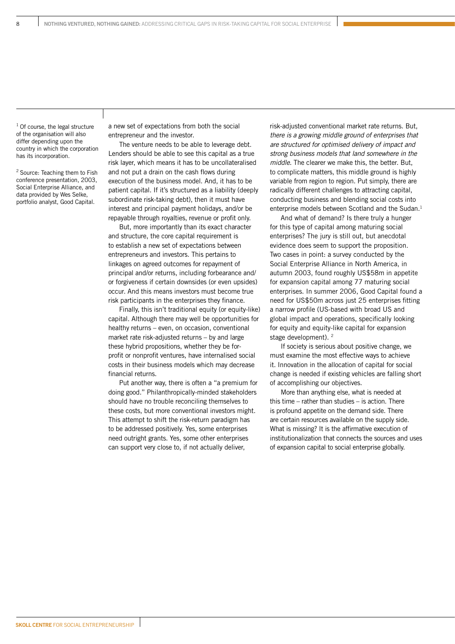<sup>1</sup> Of course, the legal structure of the organisation will also differ depending upon the country in which the corporation has its incorporation.

<sup>2</sup> Source: Teaching them to Fish conference presentation, 2003, Social Enterprise Alliance, and data provided by Wes Selke, portfolio analyst, Good Capital.

a new set of expectations from both the social entrepreneur and the investor.

The venture needs to be able to leverage debt. Lenders should be able to see this capital as a true risk layer, which means it has to be uncollateralised and not put a drain on the cash flows during execution of the business model. And, it has to be patient capital. If it's structured as a liability (deeply subordinate risk-taking debt), then it must have interest and principal payment holidays, and/or be repayable through royalties, revenue or profit only.

But, more importantly than its exact character and structure, the core capital requirement is to establish a new set of expectations between entrepreneurs and investors. This pertains to linkages on agreed outcomes for repayment of principal and/or returns, including forbearance and/ or forgiveness if certain downsides (or even upsides) occur. And this means investors must become true risk participants in the enterprises they finance.

Finally, this isn't traditional equity (or equity-like) capital. Although there may well be opportunities for healthy returns – even, on occasion, conventional market rate risk-adjusted returns – by and large these hybrid propositions, whether they be forprofit or nonprofit ventures, have internalised social costs in their business models which may decrease financial returns.

Put another way, there is often a "a premium for doing good." Philanthropically-minded stakeholders should have no trouble reconciling themselves to these costs, but more conventional investors might. This attempt to shift the risk-return paradigm has to be addressed positively. Yes, some enterprises need outright grants. Yes, some other enterprises can support very close to, if not actually deliver,

risk-adjusted conventional market rate returns. But, there is a growing middle ground of enterprises that are structured for optimised delivery of impact and strong business models that land somewhere in the middle. The clearer we make this, the better. But, to complicate matters, this middle ground is highly variable from region to region. Put simply, there are radically different challenges to attracting capital, conducting business and blending social costs into enterprise models between Scotland and the Sudan.<sup>1</sup>

And what of demand? Is there truly a hunger for this type of capital among maturing social enterprises? The jury is still out, but anecdotal evidence does seem to support the proposition. Two cases in point: a survey conducted by the Social Enterprise Alliance in North America, in autumn 2003, found roughly US\$58m in appetite for expansion capital among 77 maturing social enterprises. In summer 2006, Good Capital found a need for US\$50m across just 25 enterprises fitting a narrow profile (US-based with broad US and global impact and operations, specifically looking for equity and equity-like capital for expansion stage development). <sup>2</sup>

If society is serious about positive change, we must examine the most effective ways to achieve it. Innovation in the allocation of capital for social change is needed if existing vehicles are falling short of accomplishing our objectives.

More than anything else, what is needed at this time – rather than studies – is action. There is profound appetite on the demand side. There are certain resources available on the supply side. What is missing? It is the affirmative execution of institutionalization that connects the sources and uses of expansion capital to social enterprise globally.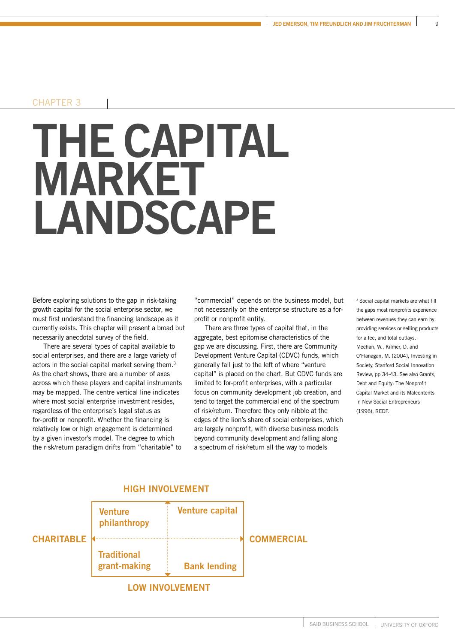#### CHAPTER 3

### **THE CAPITAL MARKET LANDSCAPE**

Before exploring solutions to the gap in risk-taking growth capital for the social enterprise sector, we must first understand the financing landscape as it currently exists. This chapter will present a broad but necessarily anecdotal survey of the field.

There are several types of capital available to social enterprises, and there are a large variety of actors in the social capital market serving them.<sup>3</sup> As the chart shows, there are a number of axes across which these players and capital instruments may be mapped. The centre vertical line indicates where most social enterprise investment resides, regardless of the enterprise's legal status as for-profit or nonprofit. Whether the financing is relatively low or high engagement is determined by a given investor's model. The degree to which the risk/return paradigm drifts from "charitable" to

"commercial" depends on the business model, but not necessarily on the enterprise structure as a forprofit or nonprofit entity.

There are three types of capital that, in the aggregate, best epitomise characteristics of the gap we are discussing. First, there are Community Development Venture Capital (CDVC) funds, which generally fall just to the left of where "venture capital" is placed on the chart. But CDVC funds are limited to for-profit enterprises, with a particular focus on community development job creation, and tend to target the commercial end of the spectrum of risk/return. Therefore they only nibble at the edges of the lion's share of social enterprises, which are largely nonprofit, with diverse business models beyond community development and falling along a spectrum of risk/return all the way to models

3 Social capital markets are what fill the gaps most nonprofits experience between revenues they can earn by providing services or selling products for a fee, and total outlays. Meehan, W., Kilmer, D. and O'Flanagan, M. (2004), Investing in Society, Stanford Social Innovation Review, pp 34-43. See also Grants, Debt and Equity: The Nonprofit Capital Market and its Malcontents in New Social Entrepreneurs (1996), REDF.



SAID BUSINESS SCHOOL UNIVERSITY OF OXFORD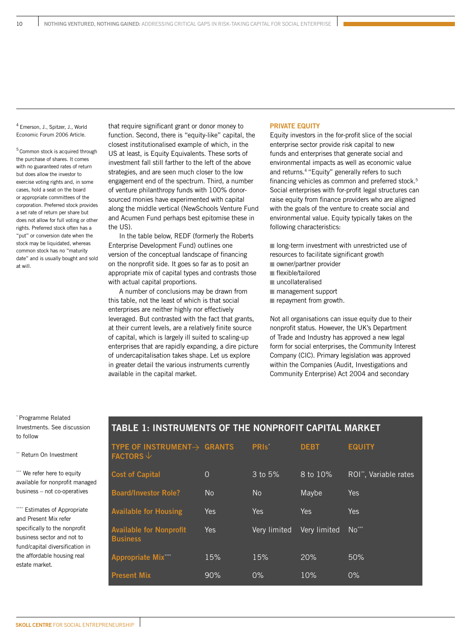4 Emerson, J., Spitzer, J., World Economic Forum 2006 Article.

<sup>5</sup> Common stock is acquired through the purchase of shares. It comes with no guaranteed rates of return but does allow the investor to exercise voting rights and, in some cases, hold a seat on the board or appropriate committees of the corporation. Preferred stock provides a set rate of return per share but does not allow for full voting or other rights. Preferred stock often has a "put" or conversion date when the stock may be liquidated, whereas common stock has no "maturity date" and is usually bought and sold at will.

that require significant grant or donor money to function. Second, there is "equity-like" capital, the closest institutionalised example of which, in the US at least, is Equity Equivalents. These sorts of investment fall still farther to the left of the above strategies, and are seen much closer to the low engagement end of the spectrum. Third, a number of venture philanthropy funds with 100% donorsourced monies have experimented with capital along the middle vertical (NewSchools Venture Fund and Acumen Fund perhaps best epitomise these in the US).

In the table below, REDF (formerly the Roberts Enterprise Development Fund) outlines one version of the conceptual landscape of financing on the nonprofit side. It goes so far as to posit an appropriate mix of capital types and contrasts those with actual capital proportions.

A number of conclusions may be drawn from this table, not the least of which is that social enterprises are neither highly nor effectively leveraged. But contrasted with the fact that grants, at their current levels, are a relatively finite source of capital, which is largely ill suited to scaling-up enterprises that are rapidly expanding, a dire picture of undercapitalisation takes shape. Let us explore in greater detail the various instruments currently available in the capital market.

#### **PRIVATE EQUITY**

Equity investors in the for-profit slice of the social enterprise sector provide risk capital to new funds and enterprises that generate social and environmental impacts as well as economic value and returns.4 "Equity" generally refers to such financing vehicles as common and preferred stock.<sup>5</sup> Social enterprises with for-profit legal structures can raise equity from finance providers who are aligned with the goals of the venture to create social and environmental value. Equity typically takes on the following characteristics:

 long-term investment with unrestricted use of resources to facilitate significant growth

- owner/partner provider
- flexible/tailored
- uncollateralised
- management support
- repayment from growth.

Not all organisations can issue equity due to their nonprofit status. However, the UK's Department of Trade and Industry has approved a new legal form for social enterprises, the Community Interest Company (CIC). Primary legislation was approved within the Companies (Audit, Investigations and Community Enterprise) Act 2004 and secondary

\* Programme Related Investments. See discussion to follow

\*\* Return On Investment

\*\*\* We refer here to equity available for nonprofit managed business – not co-operatives

\*\*\*\* Estimates of Appropriate and Present Mix refer specifically to the nonprofit business sector and not to fund/capital diversification in the affordable housing real estate market.

#### **TABLE 1: INSTRUMENTS OF THE NONPROFIT CAPITAL MARKET**

| TYPE OF INSTRUMENT $\rightarrow$ GRANTS<br><b>FACTORS</b> $\downarrow$ |                | PRIS <sup>*</sup> | <b>DEBT</b>  | <b>EQUITY</b>                     |
|------------------------------------------------------------------------|----------------|-------------------|--------------|-----------------------------------|
| <b>Cost of Capital</b>                                                 | $\Omega$       | 3 to 5%           | $8$ to $10%$ | ROI <sup>*</sup> , Variable rates |
| <b>Board/Investor Role?</b>                                            | N <sub>o</sub> | <b>No</b>         | Maybe        | <b>Yes</b>                        |
| <b>Available for Housing</b>                                           | Yes            | Yes               | <b>Yes</b>   | Yes                               |
| <b>Available for Nonprofit</b><br><b>Business</b>                      | <b>Yes</b>     | Very limited      | Very limited | $No***$                           |
| <b>Appropriate Mix***</b>                                              | 15%            | 15%               | 20%          | 50%                               |
| <b>Present Mix</b>                                                     | 90%            | 0%                | 10%          | $0\%$                             |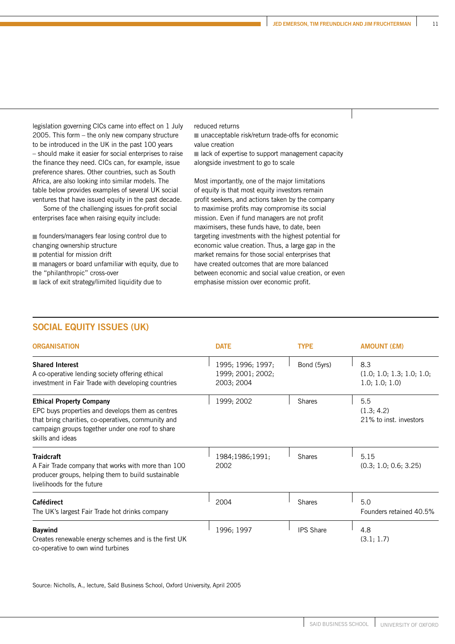legislation governing CICs came into effect on 1 July 2005. This form – the only new company structure to be introduced in the UK in the past 100 years – should make it easier for social enterprises to raise the finance they need. CICs can, for example, issue preference shares. Other countries, such as South Africa, are also looking into similar models. The table below provides examples of several UK social ventures that have issued equity in the past decade.

Some of the challenging issues for-profit social enterprises face when raising equity include:

■ founders/managers fear losing control due to changing ownership structure

potential for mission drift

 managers or board unfamiliar with equity, due to the "philanthropic" cross-over

lack of exit strategy/limited liquidity due to

reduced returns

■ unacceptable risk/return trade-offs for economic value creation

 lack of expertise to support management capacity alongside investment to go to scale

Most importantly, one of the major limitations of equity is that most equity investors remain profit seekers, and actions taken by the company to maximise profits may compromise its social mission. Even if fund managers are not profit maximisers, these funds have, to date, been targeting investments with the highest potential for economic value creation. Thus, a large gap in the market remains for those social enterprises that have created outcomes that are more balanced between economic and social value creation, or even emphasise mission over economic profit.

#### **SOCIAL EQUITY ISSUES (UK)**

| <b>ORGANISATION</b>                                                                                                                                                                                               | <b>DATE</b>                                          | <b>TYPE</b>      | <b>AMOUNT (£M)</b>                                 |
|-------------------------------------------------------------------------------------------------------------------------------------------------------------------------------------------------------------------|------------------------------------------------------|------------------|----------------------------------------------------|
| <b>Shared Interest</b><br>A co-operative lending society offering ethical<br>investment in Fair Trade with developing countries                                                                                   | 1995; 1996; 1997;<br>1999; 2001; 2002;<br>2003; 2004 | Bond (5yrs)      | 8.3<br>(1.0; 1.0; 1.3; 1.0; 1.0;<br>1.0; 1.0; 1.0) |
| <b>Ethical Property Company</b><br>EPC buys properties and develops them as centres<br>that bring charities, co-operatives, community and<br>campaign groups together under one roof to share<br>skills and ideas | 1999; 2002                                           | <b>Shares</b>    | 5.5<br>(1.3; 4.2)<br>21% to inst. investors        |
| <b>Traidcraft</b><br>A Fair Trade company that works with more than 100<br>producer groups, helping them to build sustainable<br>livelihoods for the future                                                       | 1984;1986;1991;<br>2002                              | <b>Shares</b>    | 5.15<br>(0.3; 1.0; 0.6; 3.25)                      |
| <b>Cafédirect</b><br>The UK's largest Fair Trade hot drinks company                                                                                                                                               | 2004                                                 | <b>Shares</b>    | 5.0<br>Founders retained 40.5%                     |
| <b>Baywind</b><br>Creates renewable energy schemes and is the first UK<br>co-operative to own wind turbines                                                                                                       | 1996; 1997                                           | <b>IPS Share</b> | 4.8<br>(3.1; 1.7)                                  |

Source: Nicholls, A., lecture, Saïd Business School, Oxford University, April 2005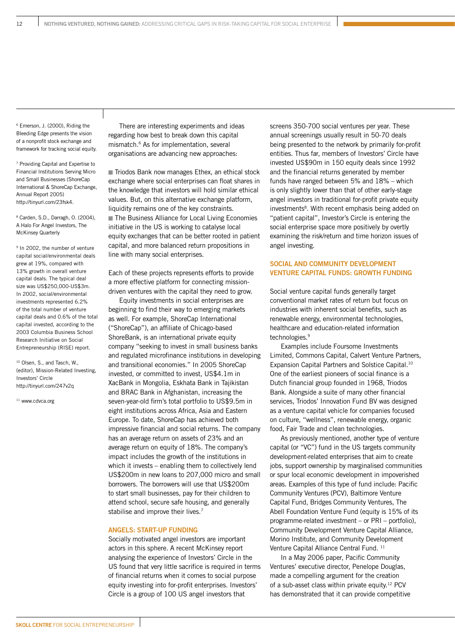6 Emerson, J. (2000), Riding the Bleeding Edge presents the vision of a nonprofit stock exchange and framework for tracking social equity.

7 Providing Capital and Expertise to Financial Institutions Serving Micro and Small Businesses (ShoreCap International & ShoreCap Exchange, Annual Report 2005) http://tinyurl.com/23fsk4.

8 Carden, S.D., Darragh, O. (2004), A Halo For Angel Investors, The McKinsey Quarterly

9 In 2002, the number of venture capital social/environmental deals grew at 19%, compared with 13% growth in overall venture capital deals. The typical deal size was US\$250,000-US\$3m. In 2002, social/environmental investments represented 6.2% of the total number of venture capital deals and 0.6% of the total capital invested, according to the 2003 Columbia Business School Research Initiative on Social Entrepreneurship (RISE) report.

<sup>10</sup> Olsen, S., and Tasch, W., (editor), Mission-Related Investing, Investors' Circle http://tinyurl.com/247v2q

<sup>11</sup> www.cdvca.org

There are interesting experiments and ideas regarding how best to break down this capital mismatch.6 As for implementation, several organisations are advancing new approaches:

Triodos Bank now manages Ethex, an ethical stock exchange where social enterprises can float shares in the knowledge that investors will hold similar ethical values. But, on this alternative exchange platform, liquidity remains one of the key constraints. **■ The Business Alliance for Local Living Economies** initiative in the US is working to catalyse local equity exchanges that can be better rooted in patient capital, and more balanced return propositions in line with many social enterprises.

Each of these projects represents efforts to provide a more effective platform for connecting missiondriven ventures with the capital they need to grow.

Equity investments in social enterprises are beginning to find their way to emerging markets as well. For example, ShoreCap International ("ShoreCap"), an affiliate of Chicago-based ShoreBank, is an international private equity company "seeking to invest in small business banks and regulated microfinance institutions in developing and transitional economies." In 2005 ShoreCap invested, or committed to invest, US\$4.1m in XacBank in Mongolia, Eskhata Bank in Tajikistan and BRAC Bank in Afghanistan, increasing the seven-year-old firm's total portfolio to US\$9.5m in eight institutions across Africa, Asia and Eastern Europe. To date, ShoreCap has achieved both impressive financial and social returns. The company has an average return on assets of 23% and an average return on equity of 18%. The company's impact includes the growth of the institutions in which it invests – enabling them to collectively lend US\$200m in new loans to 207,000 micro and small borrowers. The borrowers will use that US\$200m to start small businesses, pay for their children to attend school, secure safe housing, and generally stabilise and improve their lives.<sup>7</sup>

#### **ANGELS: START-UP FUNDING**

Socially motivated angel investors are important actors in this sphere. A recent McKinsey report analysing the experience of Investors' Circle in the US found that very little sacrifice is required in terms of financial returns when it comes to social purpose equity investing into for-profit enterprises. Investors' Circle is a group of 100 US angel investors that

screens 350-700 social ventures per year. These annual screenings usually result in 50-70 deals being presented to the network by primarily for-profit entities. Thus far, members of Investors' Circle have invested US\$90m in 150 equity deals since 1992 and the financial returns generated by member funds have ranged between 5% and 18% – which is only slightly lower than that of other early-stage angel investors in traditional for-profit private equity investments<sup>8</sup>. With recent emphasis being added on "patient capital", Investor's Circle is entering the social enterprise space more positively by overtly examining the risk/return and time horizon issues of angel investing.

#### **SOCIAL AND COMMUNITY DEVELOPMENT VENTURE CAPITAL FUNDS: GROWTH FUNDING**

Social venture capital funds generally target conventional market rates of return but focus on industries with inherent social benefits, such as renewable energy, environmental technologies, healthcare and education-related information technologies.<sup>9</sup>

Examples include Foursome Investments Limited, Commons Capital, Calvert Venture Partners, Expansion Capital Partners and Solstice Capital.10 One of the earliest pioneers of social finance is a Dutch financial group founded in 1968, Triodos Bank. Alongside a suite of many other financial services, Triodos' Innovation Fund BV was designed as a venture capital vehicle for companies focused on culture, "wellness", renewable energy, organic food, Fair Trade and clean technologies.

As previously mentioned, another type of venture capital (or "VC") fund in the US targets community development-related enterprises that aim to create jobs, support ownership by marginalised communities or spur local economic development in impoverished areas. Examples of this type of fund include: Pacific Community Ventures (PCV), Baltimore Venture Capital Fund, Bridges Community Ventures, The Abell Foundation Venture Fund (equity is 15% of its programme-related investment – or PRI – portfolio), Community Development Venture Capital Alliance, Morino Institute, and Community Development Venture Capital Alliance Central Fund.<sup>11</sup>

In a May 2006 paper, Pacific Community Ventures' executive director, Penelope Douglas, made a compelling argument for the creation of a sub-asset class within private equity.12 PCV has demonstrated that it can provide competitive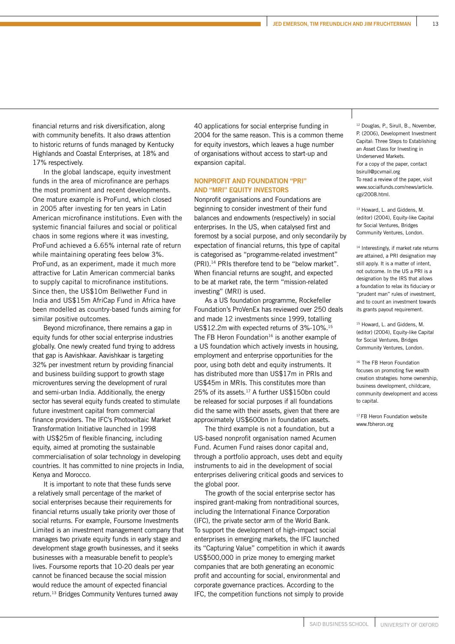financial returns and risk diversification, along with community benefits. It also draws attention to historic returns of funds managed by Kentucky Highlands and Coastal Enterprises, at 18% and 17% respectively.

In the global landscape, equity investment funds in the area of microfinance are perhaps the most prominent and recent developments. One mature example is ProFund, which closed in 2005 after investing for ten years in Latin American microfinance institutions. Even with the systemic financial failures and social or political chaos in some regions where it was investing, ProFund achieved a 6.65% internal rate of return while maintaining operating fees below 3%. ProFund, as an experiment, made it much more attractive for Latin American commercial banks to supply capital to microfinance institutions. Since then, the US\$10m Bellwether Fund in India and US\$15m AfriCap Fund in Africa have been modelled as country-based funds aiming for similar positive outcomes.

Beyond microfinance, there remains a gap in equity funds for other social enterprise industries globally. One newly created fund trying to address that gap is Aavishkaar. Aavishkaar is targeting 32% per investment return by providing financial and business building support to growth stage microventures serving the development of rural and semi-urban India. Additionally, the energy sector has several equity funds created to stimulate future investment capital from commercial finance providers. The IFC's Photovoltaic Market Transformation Initiative launched in 1998 with US\$25m of flexible financing, including equity, aimed at promoting the sustainable commercialisation of solar technology in developing countries. It has committed to nine projects in India, Kenya and Morocco.

It is important to note that these funds serve a relatively small percentage of the market of social enterprises because their requirements for financial returns usually take priority over those of social returns. For example, Foursome Investments Limited is an investment management company that manages two private equity funds in early stage and development stage growth businesses, and it seeks businesses with a measurable benefit to people's lives. Foursome reports that 10-20 deals per year cannot be financed because the social mission would reduce the amount of expected financial return.13 Bridges Community Ventures turned away

40 applications for social enterprise funding in 2004 for the same reason. This is a common theme for equity investors, which leaves a huge number of organisations without access to start-up and expansion capital.

#### **NONPROFIT AND FOUNDATION "PRI" AND "MRI" EQUITY INVESTORS**

Nonprofit organisations and Foundations are beginning to consider investment of their fund balances and endowments (respectively) in social enterprises. In the US, when catalysed first and foremost by a social purpose, and only secondarily by expectation of financial returns, this type of capital is categorised as "programme-related investment" (PRI).14 PRIs therefore tend to be "below market". When financial returns are sought, and expected to be at market rate, the term "mission-related investing" (MRI) is used.

As a US foundation programme, Rockefeller Foundation's ProVenEx has reviewed over 250 deals and made 12 investments since 1999, totalling US\$12.2m with expected returns of 3%-10%.15 The FB Heron Foundation $16$  is another example of a US foundation which actively invests in housing, employment and enterprise opportunities for the poor, using both debt and equity instruments. It has distributed more than US\$17m in PRIs and US\$45m in MRIs. This constitutes more than 25% of its assets.17 A further US\$150bn could be released for social purposes if all foundations did the same with their assets, given that there are approximately US\$600bn in foundation assets.

The third example is not a foundation, but a US-based nonprofit organisation named Acumen Fund. Acumen Fund raises donor capital and, through a portfolio approach, uses debt and equity instruments to aid in the development of social enterprises delivering critical goods and services to the global poor.

The growth of the social enterprise sector has inspired grant-making from nontraditional sources, including the International Finance Corporation (IFC), the private sector arm of the World Bank. To support the development of high-impact social enterprises in emerging markets, the IFC launched its "Capturing Value" competition in which it awards US\$500,000 in prize money to emerging market companies that are both generating an economic profit and accounting for social, environmental and corporate governance practices. According to the IFC, the competition functions not simply to provide

<sup>12</sup> Douglas, P., Sirull, B., November, P. (2006), Development Investment Capital: Three Steps to Establishing an Asset Class for Investing in Underserved Markets. For a copy of the paper, contact bsirull@pcvmail.org To read a review of the paper, visit www.socialfunds.com/news/article. cgi/2008.html.

13 Howard, L. and Giddens, M. (editor) (2004), Equity-like Capital for Social Ventures, Bridges Community Ventures, London.

<sup>14</sup> Interestingly, if market rate returns are attained, a PRI designation may still apply. It is a matter of intent, not outcome. In the US a PRI is a designation by the IRS that allows a foundation to relax its fiduciary or "prudent man" rules of investment, and to count an investment towards its grants payout requirement.

<sup>15</sup> Howard, L. and Giddens, M. (editor) (2004), Equity-like Capital for Social Ventures, Bridges Community Ventures, London.

<sup>16</sup> The FB Heron Foundation focuses on promoting five wealth creation strategies: home ownership, business development, childcare, community development and access to capital.

<sup>17</sup> FB Heron Foundation website www.fbheron.org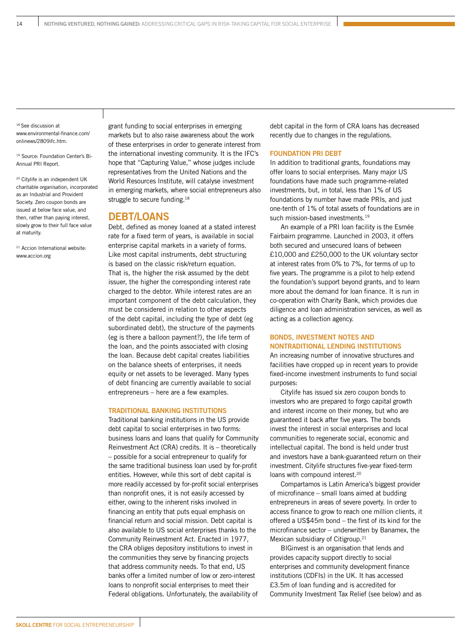18 See discussion at www.environmental-finance.com/ onlinews/2809ifc.htm.

<sup>19</sup> Source: Foundation Center's Bi-Annual PRI Report.

20 Citylife is an independent UK charitable organisation, incorporated as an Industrial and Provident Society. Zero coupon bonds are issued at below face value, and then, rather than paying interest, slowly grow to their full face value at maturity.

21 Accion International website: www.accion.org

grant funding to social enterprises in emerging markets but to also raise awareness about the work of these enterprises in order to generate interest from the international investing community. It is the IFC's hope that "Capturing Value," whose judges include representatives from the United Nations and the World Resources Institute, will catalyse investment in emerging markets, where social entrepreneurs also struggle to secure funding.<sup>18</sup>

#### **DEBT/LOANS**

Debt, defined as money loaned at a stated interest rate for a fixed term of years, is available in social enterprise capital markets in a variety of forms. Like most capital instruments, debt structuring is based on the classic risk/return equation. That is, the higher the risk assumed by the debt issuer, the higher the corresponding interest rate charged to the debtor. While interest rates are an important component of the debt calculation, they must be considered in relation to other aspects of the debt capital, including the type of debt (eg subordinated debt), the structure of the payments (eg is there a balloon payment?), the life term of the loan, and the points associated with closing the loan. Because debt capital creates liabilities on the balance sheets of enterprises, it needs equity or net assets to be leveraged. Many types of debt financing are currently available to social entrepreneurs – here are a few examples.

#### **TRADITIONAL BANKING INSTITUTIONS**

Traditional banking institutions in the US provide debt capital to social enterprises in two forms: business loans and loans that qualify for Community Reinvestment Act (CRA) credits. It is – theoretically – possible for a social entrepreneur to qualify for the same traditional business loan used by for-profit entities. However, while this sort of debt capital is more readily accessed by for-profit social enterprises than nonprofit ones, it is not easily accessed by either, owing to the inherent risks involved in financing an entity that puts equal emphasis on financial return and social mission. Debt capital is also available to US social enterprises thanks to the Community Reinvestment Act. Enacted in 1977, the CRA obliges depository institutions to invest in the communities they serve by financing projects that address community needs. To that end, US banks offer a limited number of low or zero-interest loans to nonprofit social enterprises to meet their Federal obligations. Unfortunately, the availability of

debt capital in the form of CRA loans has decreased recently due to changes in the regulations.

#### **FOUNDATION PRI DEBT**

In addition to traditional grants, foundations may offer loans to social enterprises. Many major US foundations have made such programme-related investments, but, in total, less than 1% of US foundations by number have made PRIs, and just one-tenth of 1% of total assets of foundations are in such mission-based investments.<sup>19</sup>

An example of a PRI loan facility is the Esmée Fairbairn programme. Launched in 2003, it offers both secured and unsecured loans of between £10,000 and £250,000 to the UK voluntary sector at interest rates from 0% to 7%, for terms of up to five years. The programme is a pilot to help extend the foundation's support beyond grants, and to learn more about the demand for loan finance. It is run in co-operation with Charity Bank, which provides due diligence and loan administration services, as well as acting as a collection agency.

#### **BONDS, INVESTMENT NOTES AND NONTRADITIONAL LENDING INSTITUTIONS**

An increasing number of innovative structures and facilities have cropped up in recent years to provide fixed-income investment instruments to fund social purposes:

Citylife has issued six zero coupon bonds to investors who are prepared to forgo capital growth and interest income on their money, but who are guaranteed it back after five years. The bonds invest the interest in social enterprises and local communities to regenerate social, economic and intellectual capital. The bond is held under trust and investors have a bank-guaranteed return on their investment. Citylife structures five-year fixed-term loans with compound interest.<sup>20</sup>

Compartamos is Latin America's biggest provider of microfinance – small loans aimed at budding entrepreneurs in areas of severe poverty. In order to access finance to grow to reach one million clients, it offered a US\$45m bond – the first of its kind for the microfinance sector – underwritten by Banamex, the Mexican subsidiary of Citigroup.<sup>21</sup>

BIGinvest is an organisation that lends and provides capacity support directly to social enterprises and community development finance institutions (CDFIs) in the UK. It has accessed £3.5m of loan funding and is accredited for Community Investment Tax Relief (see below) and as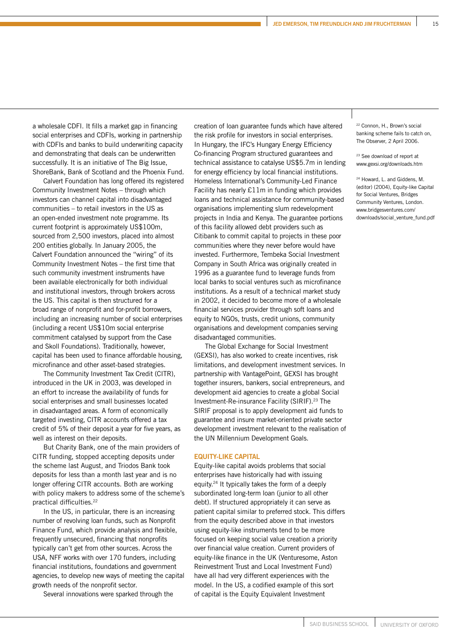a wholesale CDFI. It fills a market gap in financing social enterprises and CDFIs, working in partnership with CDFIs and banks to build underwriting capacity and demonstrating that deals can be underwritten successfully. It is an initiative of The Big Issue, ShoreBank, Bank of Scotland and the Phoenix Fund.

Calvert Foundation has long offered its registered Community Investment Notes – through which investors can channel capital into disadvantaged communities – to retail investors in the US as an open-ended investment note programme. Its current footprint is approximately US\$100m, sourced from 2,500 investors, placed into almost 200 entities globally. In January 2005, the Calvert Foundation announced the "wiring" of its Community Investment Notes – the first time that such community investment instruments have been available electronically for both individual and institutional investors, through brokers across the US. This capital is then structured for a broad range of nonprofit and for-profit borrowers, including an increasing number of social enterprises (including a recent US\$10m social enterprise commitment catalysed by support from the Case and Skoll Foundations). Traditionally, however, capital has been used to finance affordable housing, microfinance and other asset-based strategies.

The Community Investment Tax Credit (CITR), introduced in the UK in 2003, was developed in an effort to increase the availability of funds for social enterprises and small businesses located in disadvantaged areas. A form of economically targeted investing, CITR accounts offered a tax credit of 5% of their deposit a year for five years, as well as interest on their deposits.

But Charity Bank, one of the main providers of CITR funding, stopped accepting deposits under the scheme last August, and Triodos Bank took deposits for less than a month last year and is no longer offering CITR accounts. Both are working with policy makers to address some of the scheme's practical difficulties.22

In the US, in particular, there is an increasing number of revolving loan funds, such as Nonprofit Finance Fund, which provide analysis and flexible, frequently unsecured, financing that nonprofits typically can't get from other sources. Across the USA, NFF works with over 170 funders, including financial institutions, foundations and government agencies, to develop new ways of meeting the capital growth needs of the nonprofit sector.

Several innovations were sparked through the

creation of loan guarantee funds which have altered the risk profile for investors in social enterprises. In Hungary, the IFC's Hungary Energy Efficiency Co-financing Program structured guarantees and technical assistance to catalyse US\$5.7m in lending for energy efficiency by local financial institutions. Homeless International's Community-Led Finance Facility has nearly £11m in funding which provides loans and technical assistance for community-based organisations implementing slum redevelopment projects in India and Kenya. The guarantee portions of this facility allowed debt providers such as Citibank to commit capital to projects in these poor communities where they never before would have invested. Furthermore, Tembeka Social Investment Company in South Africa was originally created in 1996 as a guarantee fund to leverage funds from local banks to social ventures such as microfinance institutions. As a result of a technical market study in 2002, it decided to become more of a wholesale financial services provider through soft loans and equity to NGOs, trusts, credit unions, community organisations and development companies serving disadvantaged communities.

The Global Exchange for Social Investment (GEXSI), has also worked to create incentives, risk limitations, and development investment services. In partnership with VantagePoint, GEXSI has brought together insurers, bankers, social entrepreneurs, and development aid agencies to create a global Social Investment-Re-insurance Facility (SIRIF).23 The SIRIF proposal is to apply development aid funds to guarantee and insure market-oriented private sector development investment relevant to the realisation of the UN Millennium Development Goals.

#### **EQUITY-LIKE CAPITAL**

Equity-like capital avoids problems that social enterprises have historically had with issuing equity.24 It typically takes the form of a deeply subordinated long-term loan (junior to all other debt). If structured appropriately it can serve as patient capital similar to preferred stock. This differs from the equity described above in that investors using equity-like instruments tend to be more focused on keeping social value creation a priority over financial value creation. Current providers of equity-like finance in the UK (Venturesome, Aston Reinvestment Trust and Local Investment Fund) have all had very different experiences with the model. In the US, a codified example of this sort of capital is the Equity Equivalent Investment

22 Connon, H., Brown's social banking scheme fails to catch on, The Observer, 2 April 2006.

23 See download of report at www.gexsi.org/downloads.htm

24 Howard, L. and Giddens, M. (editor) (2004), Equity-like Capital for Social Ventures, Bridges Community Ventures, London. www.bridgesventures.com/ downloads/social\_venture\_fund.pdf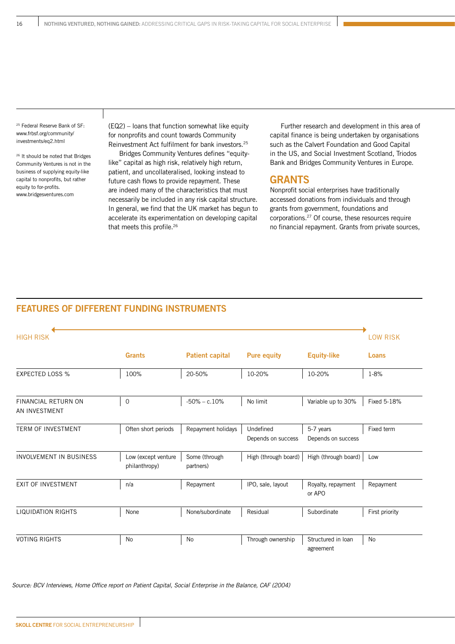25 Federal Reserve Bank of SF: www.frbsf.org/community/ investments/eq2.html

26 It should be noted that Bridges Community Ventures is not in the business of supplying equity-like capital to nonprofits, but rather equity to for-profits. www.bridgesventures.com

(EQ2) – loans that function somewhat like equity for nonprofits and count towards Community Reinvestment Act fulfilment for bank investors.25

Bridges Community Ventures defines "equitylike" capital as high risk, relatively high return, patient, and uncollateralised, looking instead to future cash flows to provide repayment. These are indeed many of the characteristics that must necessarily be included in any risk capital structure. In general, we find that the UK market has begun to accelerate its experimentation on developing capital that meets this profile.<sup>26</sup>

Further research and development in this area of capital finance is being undertaken by organisations such as the Calvert Foundation and Good Capital in the US, and Social Investment Scotland, Triodos Bank and Bridges Community Ventures in Europe.

#### **GRANTS**

Nonprofit social enterprises have traditionally accessed donations from individuals and through grants from government, foundations and corporations.27 Of course, these resources require no financial repayment. Grants from private sources,

#### **FEATURES OF DIFFERENT FUNDING INSTRUMENTS**

| <b>HIGH RISK</b>                            |                                      |                            |                                 |                                 | <b>LOW RISK</b> |
|---------------------------------------------|--------------------------------------|----------------------------|---------------------------------|---------------------------------|-----------------|
|                                             | <b>Grants</b>                        | <b>Patient capital</b>     | <b>Pure equity</b>              | <b>Equity-like</b>              | Loans           |
| <b>EXPECTED LOSS %</b>                      | 100%                                 | 20-50%                     | 10-20%                          | 10-20%                          | 1-8%            |
| <b>FINANCIAL RETURN ON</b><br>AN INVESTMENT | $\mathbf 0$                          | $-50\% - c.10\%$           | No limit                        | Variable up to 30%              | Fixed 5-18%     |
| <b>TERM OF INVESTMENT</b>                   | Often short periods                  | Repayment holidays         | Undefined<br>Depends on success | 5-7 years<br>Depends on success | Fixed term      |
| <b>INVOLVEMENT IN BUSINESS</b>              | Low (except venture<br>philanthropy) | Some (through<br>partners) | High (through board)            | High (through board)            | Low             |
| <b>EXIT OF INVESTMENT</b>                   | n/a                                  | Repayment                  | IPO, sale, layout               | Royalty, repayment<br>or APO    | Repayment       |
| <b>LIQUIDATION RIGHTS</b>                   | None                                 | None/subordinate           | Residual                        | Subordinate                     | First priority  |
| <b>VOTING RIGHTS</b>                        | No                                   | No                         | Through ownership               | Structured in Ioan<br>agreement | <b>No</b>       |

Source: BCV Interviews, Home Office report on Patient Capital, Social Enterprise in the Balance, CAF (2004)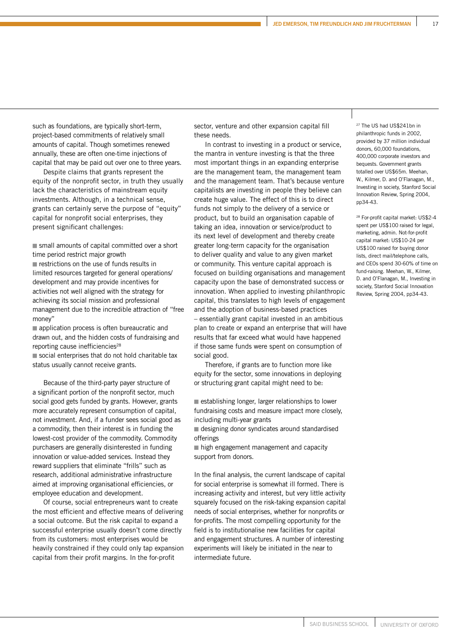such as foundations, are typically short-term, project-based commitments of relatively small amounts of capital. Though sometimes renewed annually, these are often one-time injections of capital that may be paid out over one to three years.

Despite claims that grants represent the equity of the nonprofit sector, in truth they usually lack the characteristics of mainstream equity investments. Although, in a technical sense, grants can certainly serve the purpose of "equity" capital for nonprofit social enterprises, they present significant challenges:

small amounts of capital committed over a short time period restrict major growth  $\blacksquare$  restrictions on the use of funds results in limited resources targeted for general operations/ development and may provide incentives for activities not well aligned with the strategy for achieving its social mission and professional management due to the incredible attraction of "free money"

application process is often bureaucratic and drawn out, and the hidden costs of fundraising and reporting cause inefficiencies<sup>28</sup>

social enterprises that do not hold charitable tax status usually cannot receive grants.

Because of the third-party payer structure of a significant portion of the nonprofit sector, much social good gets funded by grants. However, grants more accurately represent consumption of capital, not investment. And, if a funder sees social good as a commodity, then their interest is in funding the lowest-cost provider of the commodity. Commodity purchasers are generally disinterested in funding innovation or value-added services. Instead they reward suppliers that eliminate "frills" such as research, additional administrative infrastructure aimed at improving organisational efficiencies, or employee education and development.

Of course, social entrepreneurs want to create the most efficient and effective means of delivering a social outcome. But the risk capital to expand a successful enterprise usually doesn't come directly from its customers: most enterprises would be heavily constrained if they could only tap expansion capital from their profit margins. In the for-profit

sector, venture and other expansion capital fill these needs.

In contrast to investing in a product or service, the mantra in venture investing is that the three most important things in an expanding enterprise are the management team, the management team and the management team. That's because venture capitalists are investing in people they believe can create huge value. The effect of this is to direct funds not simply to the delivery of a service or product, but to build an organisation capable of taking an idea, innovation or service/product to its next level of development and thereby create greater long-term capacity for the organisation to deliver quality and value to any given market or community. This venture capital approach is focused on building organisations and management capacity upon the base of demonstrated success or innovation. When applied to investing philanthropic capital, this translates to high levels of engagement and the adoption of business-based practices – essentially grant capital invested in an ambitious plan to create or expand an enterprise that will have results that far exceed what would have happened if those same funds were spent on consumption of social good.

Therefore, if grants are to function more like equity for the sector, some innovations in deploying or structuring grant capital might need to be:

establishing longer, larger relationships to lower fundraising costs and measure impact more closely, including multi-year grants

 designing donor syndicates around standardised offerings

high engagement management and capacity support from donors.

In the final analysis, the current landscape of capital for social enterprise is somewhat ill formed. There is increasing activity and interest, but very little activity squarely focused on the risk-taking expansion capital needs of social enterprises, whether for nonprofits or for-profits. The most compelling opportunity for the field is to institutionalise new facilities for capital and engagement structures. A number of interesting experiments will likely be initiated in the near to intermediate future.

27 The US had US\$241bn in philanthropic funds in 2002, provided by 37 million individual donors, 60,000 foundations. 400,000 corporate investors and bequests. Government grants totalled over US\$65m. Meehan, W., Kilmer, D. and O'Flanagan, M., Investing in society, Stanford Social Innovation Review, Spring 2004, pp34-43.

28 For-profit capital market: US\$2-4 spent per US\$100 raised for legal, marketing, admin. Not-for-profit capital market: US\$10-24 per US\$100 raised for buying donor lists, direct mail/telephone calls, and CEOs spend 30-60% of time on fund-raising. Meehan, W., Kilmer, D. and O'Flanagan, M., Investing in society, Stanford Social Innovation Review, Spring 2004, pp34-43.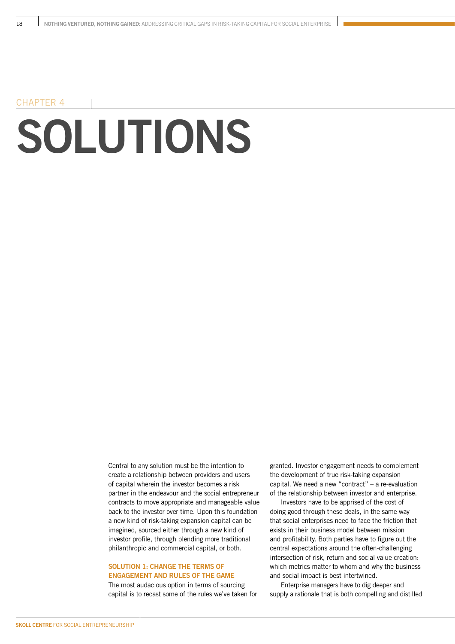### **SOLUTIONS** CHAPTER 4

Central to any solution must be the intention to create a relationship between providers and users of capital wherein the investor becomes a risk partner in the endeavour and the social entrepreneur contracts to move appropriate and manageable value back to the investor over time. Upon this foundation a new kind of risk-taking expansion capital can be imagined, sourced either through a new kind of investor profile, through blending more traditional philanthropic and commercial capital, or both.

#### **SOLUTION 1: CHANGE THE TERMS OF ENGAGEMENT AND RULES OF THE GAME**

The most audacious option in terms of sourcing capital is to recast some of the rules we've taken for granted. Investor engagement needs to complement the development of true risk-taking expansion capital. We need a new "contract" – a re-evaluation of the relationship between investor and enterprise.

Investors have to be apprised of the cost of doing good through these deals, in the same way that social enterprises need to face the friction that exists in their business model between mission and profitability. Both parties have to figure out the central expectations around the often-challenging intersection of risk, return and social value creation: which metrics matter to whom and why the business and social impact is best intertwined.

Enterprise managers have to dig deeper and supply a rationale that is both compelling and distilled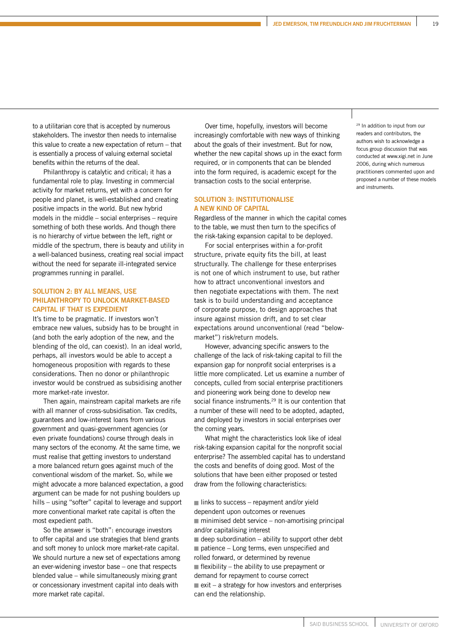<sup>29</sup> In addition to input from our readers and contributors, the authors wish to acknowledge a focus group discussion that was conducted at www.xigi.net in June 2006, during which numerous practitioners commented upon and proposed a number of these models

and instruments.

to a utilitarian core that is accepted by numerous stakeholders. The investor then needs to internalise this value to create a new expectation of return – that is essentially a process of valuing external societal benefits within the returns of the deal.

Philanthropy is catalytic and critical; it has a fundamental role to play. Investing in commercial activity for market returns, yet with a concern for people and planet, is well-established and creating positive impacts in the world. But new hybrid models in the middle – social enterprises – require something of both these worlds. And though there is no hierarchy of virtue between the left, right or middle of the spectrum, there is beauty and utility in a well-balanced business, creating real social impact without the need for separate ill-integrated service programmes running in parallel.

#### **SOLUTION 2: BY ALL MEANS, USE PHILANTHROPY TO UNLOCK MARKET-BASED CAPITAL IF THAT IS EXPEDIENT**

It's time to be pragmatic. If investors won't embrace new values, subsidy has to be brought in (and both the early adoption of the new, and the blending of the old, can coexist). In an ideal world, perhaps, all investors would be able to accept a homogeneous proposition with regards to these considerations. Then no donor or philanthropic investor would be construed as subsidising another more market-rate investor.

Then again, mainstream capital markets are rife with all manner of cross-subsidisation. Tax credits, guarantees and low-interest loans from various government and quasi-government agencies (or even private foundations) course through deals in many sectors of the economy. At the same time, we must realise that getting investors to understand a more balanced return goes against much of the conventional wisdom of the market. So, while we might advocate a more balanced expectation, a good argument can be made for not pushing boulders up hills – using "softer" capital to leverage and support more conventional market rate capital is often the most expedient path.

So the answer is "both": encourage investors to offer capital and use strategies that blend grants and soft money to unlock more market-rate capital. We should nurture a new set of expectations among an ever-widening investor base – one that respects blended value – while simultaneously mixing grant or concessionary investment capital into deals with more market rate capital.

Over time, hopefully, investors will become increasingly comfortable with new ways of thinking about the goals of their investment. But for now, whether the new capital shows up in the exact form required, or in components that can be blended into the form required, is academic except for the transaction costs to the social enterprise.

#### **SOLUTION 3: INSTITUTIONALISE A NEW KIND OF CAPITAL**

Regardless of the manner in which the capital comes to the table, we must then turn to the specifics of the risk-taking expansion capital to be deployed.

For social enterprises within a for-profit structure, private equity fits the bill, at least structurally. The challenge for these enterprises is not one of which instrument to use, but rather how to attract unconventional investors and then negotiate expectations with them. The next task is to build understanding and acceptance of corporate purpose, to design approaches that insure against mission drift, and to set clear expectations around unconventional (read "belowmarket") risk/return models.

However, advancing specific answers to the challenge of the lack of risk-taking capital to fill the expansion gap for nonprofit social enterprises is a little more complicated. Let us examine a number of concepts, culled from social enterprise practitioners and pioneering work being done to develop new social finance instruments.<sup>29</sup> It is our contention that a number of these will need to be adopted, adapted, and deployed by investors in social enterprises over the coming years.

What might the characteristics look like of ideal risk-taking expansion capital for the nonprofit social enterprise? The assembled capital has to understand the costs and benefits of doing good. Most of the solutions that have been either proposed or tested draw from the following characteristics:

 $\blacksquare$  links to success – repayment and/or yield dependent upon outcomes or revenues  $\blacksquare$  minimised debt service – non-amortising principal and/or capitalising interest  $\blacksquare$  deep subordination – ability to support other debt  $\blacksquare$  patience – Long terms, even unspecified and rolled forward, or determined by revenue  $\blacksquare$  flexibility – the ability to use prepayment or demand for repayment to course correct  $\blacksquare$  exit – a strategy for how investors and enterprises can end the relationship.

**JED EMERSON, TIM FREUNDLICH AND JIM FRUCHTERMAN 19**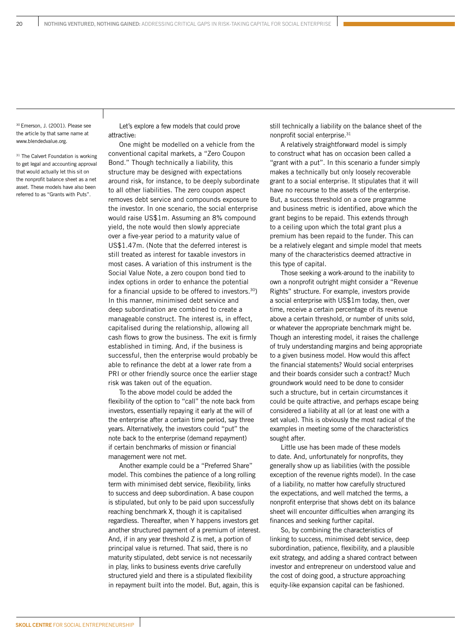30 Emerson, J. (2001). Please see the article by that same name at www.blendedvalue.org.

<sup>31</sup> The Calvert Foundation is working to get legal and accounting approval that would actually let this sit on the nonprofit balance sheet as a net asset. These models have also been referred to as "Grants with Puts".

Let's explore a few models that could prove attractive:

One might be modelled on a vehicle from the conventional capital markets, a "Zero Coupon Bond." Though technically a liability, this structure may be designed with expectations around risk, for instance, to be deeply subordinate to all other liabilities. The zero coupon aspect removes debt service and compounds exposure to the investor. In one scenario, the social enterprise would raise US\$1m. Assuming an 8% compound yield, the note would then slowly appreciate over a five-year period to a maturity value of US\$1.47m. (Note that the deferred interest is still treated as interest for taxable investors in most cases. A variation of this instrument is the Social Value Note, a zero coupon bond tied to index options in order to enhance the potential for a financial upside to be offered to investors.30) In this manner, minimised debt service and deep subordination are combined to create a manageable construct. The interest is, in effect, capitalised during the relationship, allowing all cash flows to grow the business. The exit is firmly established in timing. And, if the business is successful, then the enterprise would probably be able to refinance the debt at a lower rate from a PRI or other friendly source once the earlier stage risk was taken out of the equation.

To the above model could be added the flexibility of the option to "call" the note back from investors, essentially repaying it early at the will of the enterprise after a certain time period, say three years. Alternatively, the investors could "put" the note back to the enterprise (demand repayment) if certain benchmarks of mission or financial management were not met.

Another example could be a "Preferred Share" model. This combines the patience of a long rolling term with minimised debt service, flexibility, links to success and deep subordination. A base coupon is stipulated, but only to be paid upon successfully reaching benchmark X, though it is capitalised regardless. Thereafter, when Y happens investors get another structured payment of a premium of interest. And, if in any year threshold Z is met, a portion of principal value is returned. That said, there is no maturity stipulated, debt service is not necessarily in play, links to business events drive carefully structured yield and there is a stipulated flexibility in repayment built into the model. But, again, this is

still technically a liability on the balance sheet of the nonprofit social enterprise.31

A relatively straightforward model is simply to construct what has on occasion been called a "grant with a put". In this scenario a funder simply makes a technically but only loosely recoverable grant to a social enterprise. It stipulates that it will have no recourse to the assets of the enterprise. But, a success threshold on a core programme and business metric is identified, above which the grant begins to be repaid. This extends through to a ceiling upon which the total grant plus a premium has been repaid to the funder. This can be a relatively elegant and simple model that meets many of the characteristics deemed attractive in this type of capital.

Those seeking a work-around to the inability to own a nonprofit outright might consider a "Revenue Rights" structure. For example, investors provide a social enterprise with US\$1m today, then, over time, receive a certain percentage of its revenue above a certain threshold, or number of units sold, or whatever the appropriate benchmark might be. Though an interesting model, it raises the challenge of truly understanding margins and being appropriate to a given business model. How would this affect the financial statements? Would social enterprises and their boards consider such a contract? Much groundwork would need to be done to consider such a structure, but in certain circumstances it could be quite attractive, and perhaps escape being considered a liability at all (or at least one with a set value). This is obviously the most radical of the examples in meeting some of the characteristics sought after.

Little use has been made of these models to date. And, unfortunately for nonprofits, they generally show up as liabilities (with the possible exception of the revenue rights model). In the case of a liability, no matter how carefully structured the expectations, and well matched the terms, a nonprofit enterprise that shows debt on its balance sheet will encounter difficulties when arranging its finances and seeking further capital.

So, by combining the characteristics of linking to success, minimised debt service, deep subordination, patience, flexibility, and a plausible exit strategy, and adding a shared contract between investor and entrepreneur on understood value and the cost of doing good, a structure approaching equity-like expansion capital can be fashioned.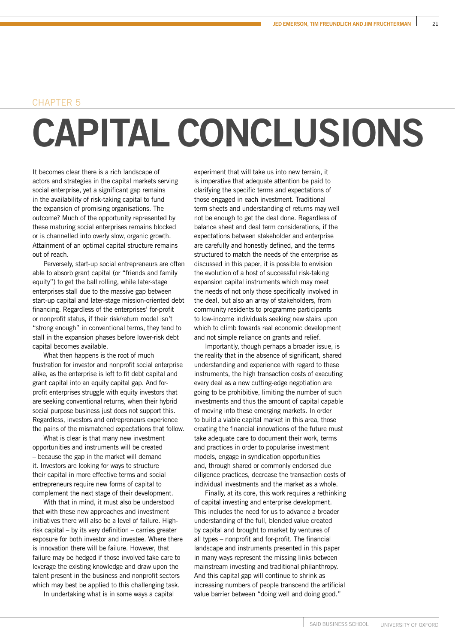#### CHAPTER 5

### **CAPITAL CONCLUSIONS**

It becomes clear there is a rich landscape of actors and strategies in the capital markets serving social enterprise, yet a significant gap remains in the availability of risk-taking capital to fund the expansion of promising organisations. The outcome? Much of the opportunity represented by these maturing social enterprises remains blocked or is channelled into overly slow, organic growth. Attainment of an optimal capital structure remains out of reach.

Perversely, start-up social entrepreneurs are often able to absorb grant capital (or "friends and family equity") to get the ball rolling, while later-stage enterprises stall due to the massive gap between start-up capital and later-stage mission-oriented debt financing. Regardless of the enterprises' for-profit or nonprofit status, if their risk/return model isn't "strong enough" in conventional terms, they tend to stall in the expansion phases before lower-risk debt capital becomes available.

What then happens is the root of much frustration for investor and nonprofit social enterprise alike, as the enterprise is left to fit debt capital and grant capital into an equity capital gap. And forprofit enterprises struggle with equity investors that are seeking conventional returns, when their hybrid social purpose business just does not support this. Regardless, investors and entrepreneurs experience the pains of the mismatched expectations that follow.

What is clear is that many new investment opportunities and instruments will be created – because the gap in the market will demand it. Investors are looking for ways to structure their capital in more effective terms and social entrepreneurs require new forms of capital to complement the next stage of their development.

With that in mind, it must also be understood that with these new approaches and investment initiatives there will also be a level of failure. Highrisk capital – by its very definition – carries greater exposure for both investor and investee. Where there is innovation there will be failure. However, that failure may be hedged if those involved take care to leverage the existing knowledge and draw upon the talent present in the business and nonprofit sectors which may best be applied to this challenging task.

In undertaking what is in some ways a capital

experiment that will take us into new terrain, it is imperative that adequate attention be paid to clarifying the specific terms and expectations of those engaged in each investment. Traditional term sheets and understanding of returns may well not be enough to get the deal done. Regardless of balance sheet and deal term considerations, if the expectations between stakeholder and enterprise are carefully and honestly defined, and the terms structured to match the needs of the enterprise as discussed in this paper, it is possible to envision the evolution of a host of successful risk-taking expansion capital instruments which may meet the needs of not only those specifically involved in the deal, but also an array of stakeholders, from community residents to programme participants to low-income individuals seeking new stairs upon which to climb towards real economic development and not simple reliance on grants and relief.

Importantly, though perhaps a broader issue, is the reality that in the absence of significant, shared understanding and experience with regard to these instruments, the high transaction costs of executing every deal as a new cutting-edge negotiation are going to be prohibitive, limiting the number of such investments and thus the amount of capital capable of moving into these emerging markets. In order to build a viable capital market in this area, those creating the financial innovations of the future must take adequate care to document their work, terms and practices in order to popularise investment models, engage in syndication opportunities and, through shared or commonly endorsed due diligence practices, decrease the transaction costs of individual investments and the market as a whole.

Finally, at its core, this work requires a rethinking of capital investing and enterprise development. This includes the need for us to advance a broader understanding of the full, blended value created by capital and brought to market by ventures of all types – nonprofit and for-profit. The financial landscape and instruments presented in this paper in many ways represent the missing links between mainstream investing and traditional philanthropy. And this capital gap will continue to shrink as increasing numbers of people transcend the artificial value barrier between "doing well and doing good."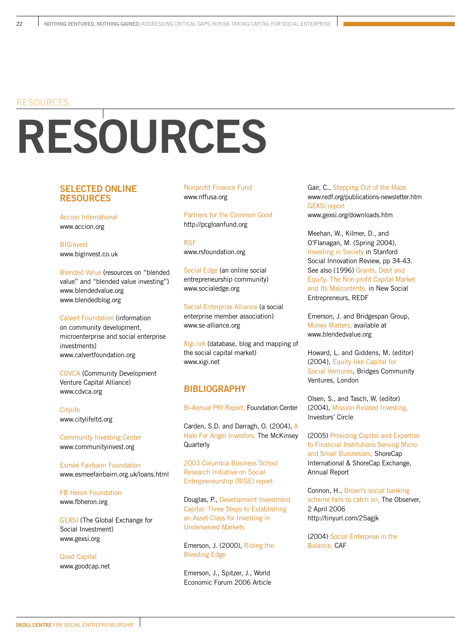#### RESOURCES

# **RESOURCES**

#### **SELECTED ONLINE RESOURCES**

Accion International www.accion.org

**BIGinvest** www.biginvest.co.uk

Blended Value (resources on "blended value" and "blended value investing") www.blendedvalue.org www.blendedblog.org

Calvert Foundation (information on community development, microenterprise and social enterprise investments) www.calvertfoundation.org

CDVCA (Community Development Venture Capital Alliance) www.cdvca.org

Citylife www.citylifeltd.org

Community Investing Center www.communityinvest.org

Esmée Fairbairn Foundation www.esmeefairbairn.org.uk/loans.html

FB Heron Foundation www.fbheron.org

GEXSI (The Global Exchange for Social Investment) www.gexsi.org

Good Capital www.goodcap.net Nonprofit Finance Fund www.nffusa.org

Partners for the Common Good http://pcgloanfund.org

RSF www.rsfoundation.org

Social Edge (an online social entrepreneurship community) www.socialedge.org

Social Enterprise Alliance (a social enterprise member association) www.se-alliance.org

Xigi.net (database, blog and mapping of the social capital market) www.xigi.net

#### **BIBLIOGRAPHY**

Bi-Annual PRI Report, Foundation Center

Carden, S.D. and Darragh, O. (2004), A Halo For Angel Investors, The McKinsey **Quarterly** 

2003 Columbia Business School Research Initiative on Social Entrepreneurship (RISE) report

Douglas, P., Development Investment Capital: Three Steps to Establishing an Asset Class for Investing in Underserved Markets

Emerson, J. (2000), Riding the Bleeding Edge

Emerson, J., Spitzer, J., World Economic Forum 2006 Article

Gair, C., Stepping Out of the Maze www.redf.org/publications-newsletter.htm GEXSI report

www.gexsi.org/downloads.htm

Meehan, W., Kilmer, D., and O'Flanagan, M. (Spring 2004), Investing in Society in Stanford Social Innovation Review, pp 34-43. See also (1996) Grants, Debt and Equity: The Non-profit Capital Market and Its Malcontents, in New Social Entrepreneurs, REDF

Emerson, J. and Bridgespan Group, Money Matters, available at www.blendedvalue.org

Howard, L. and Giddens, M. (editor) (2004), Equity-like Capital for Social Ventures, Bridges Community Ventures, London

Olsen, S., and Tasch, W. (editor) (2004), Mission-Related Investing, Investors' Circle

(2005) Providing Capital and Expertise to Financial Institutions Serving Micro and Small Businesses, ShoreCap International & ShoreCap Exchange, Annual Report

Connon, H., Brown's social banking scheme fails to catch on, The Observer, 2 April 2006 http://tinyurl.com/25agjk

(2004) Social Enterprise in the Balance, CAF